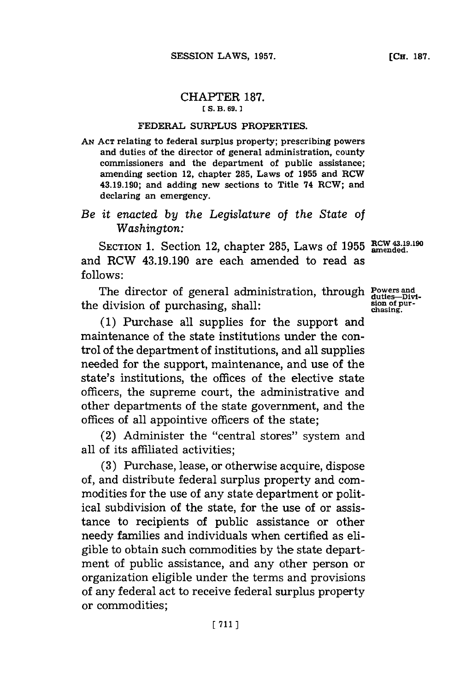## CHAPTER **187. [ S. B. 69. 1**

## **FEDERAL SURPLUS PROPERTIES.**

**AN ACT relating to federal surplus property; prescribing powers and duties of the director of general administration, county commissioners and the department of public assistance; amending section 12, chapter 285, Laws of 1955 and ROW 43.19.190; and adding new sections to Title 74 RCW; and declaring an emergency.**

## *Be it enacted by the Legislature of the State of Washington:*

SECTION 1. Section 12, chapter 285, Laws of 1955 RCW 43.19.190 and RCW 43.19.190 are each amended to read as **follows:**

The director of general administration, through the division of purchasing, shall:

**(1)** Purchase all supplies for the support and maintenance of the state institutions under the control of the department of institutions, and all supplies needed for the support, maintenance, and use of the state's institutions, the offices of the elective state officers, the supreme court, the administrative and other departments of the state government, and the offices of all appointive officers of the state;

(2) Administer the "central stores" system and all of its affiliated activities;

**(3)** Purchase, lease, or otherwise acquire, dispose of, and distribute federal surplus property and commodities **for** the use of any state department or political subdivision of the state, for the use of or assistance to recipients of public assistance or other needy families and individuals when certified as eligible to obtain such commodities **by** the state department of public assistance, and any other person or organization eligible under the terms and provisions of any federal act to receive federal surplus property or commodities;

**Powers and<br>duties-Divi<br>sion of pur-<br>chasing.**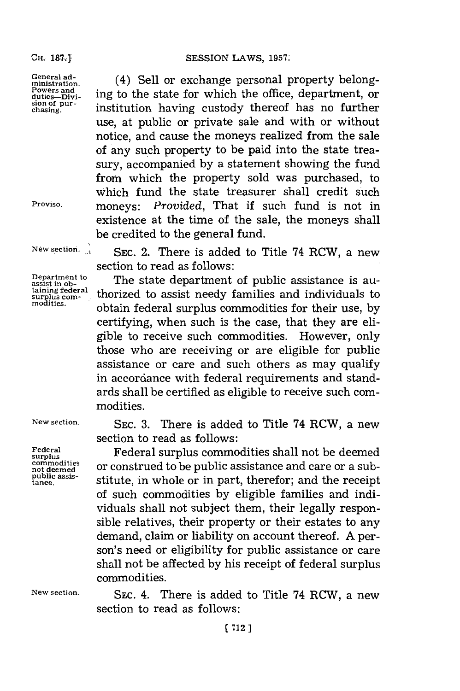**CH.** 1&7.ij

**General administration. Powers and duties-Divi-sion of pur- chasing.**

**Proviso.**

**New section.**

**Department to assist in obtaining federal** surplus com-<br>modities.

**Federal**

(4) Sell or exchange personal property belonging to the state for which the office, department, or institution having custody thereof has no further use, at public or private sale and with or without notice, and cause the moneys realized from the sale of any such property to be paid into the state treasury, accompanied **by** a statement showing the fund from which the property sold was purchased, to which fund the state treasurer shall credit such moneys: *Provided,* That if such fund is not in existence at the time of the sale, the moneys shall be credited to the general fund.

SEC. 2. There is added to Title 74 RCW, a new section to read as follows:

The state department of public assistance is authorized to assist needy families and individuals to obtain federal surplus commodities for their use, **by** certifying, when such is the case, that they are eligible to receive such commodities. However, only those who are receiving or are eligible for public assistance or care and such others as may qualify in accordance with federal requirements and standards shall be certified as eligible to receive such commodities.

**New section. SEC. 3.** There is added to Title 74 RCW, a new section to read as follows:

Federal **Surplus commodities shall not be deemed**<br>surplus **and Commodities** are construed to be public assistance and same on a sub **commodities** or construed to be public assistance and care or a sub-<br>public assis-<br>tance. stitute, in whole or in part, therefor; and the receipt stitute, in whole or in part, therefor; and the receipt of such commodities **by** eligible families and individuals shall not subject them, their legally responsible relatives, their property or their estates to any demand, claim or liability on account thereof. **A** person's need or eligibility for public assistance or care shall not be affected **by** his receipt of federal surplus commodities.

**New section.** SEC. 4. There is added to Title 74 RCW, a new section to read as follows: